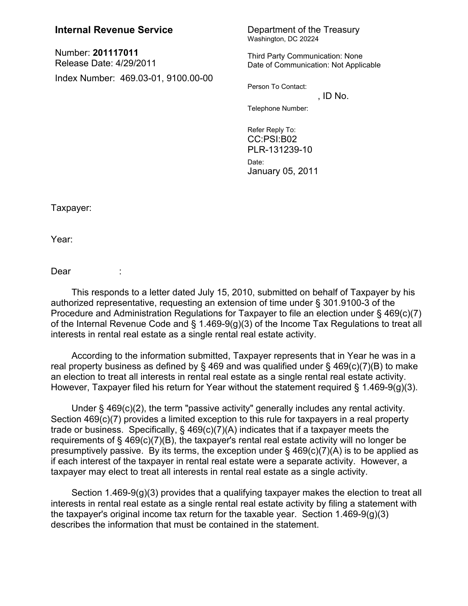## **Internal Revenue Service** Department of the Treasury

Number: **201117011** Release Date: 4/29/2011 Index Number: 469.03-01, 9100.00-00

## Washington, DC 20224

Third Party Communication: None Date of Communication: Not Applicable

Person To Contact:

 $,$  ID No. Telephone Number:

Refer Reply To: CC:PSI:B02 PLR-131239-10 Date: January 05, 2011

Taxpayer:

Year:

Dear :

This responds to a letter dated July 15, 2010, submitted on behalf of Taxpayer by his authorized representative, requesting an extension of time under § 301.9100-3 of the Procedure and Administration Regulations for Taxpayer to file an election under § 469(c)(7) of the Internal Revenue Code and § 1.469-9(g)(3) of the Income Tax Regulations to treat all interests in rental real estate as a single rental real estate activity.

According to the information submitted, Taxpayer represents that in Year he was in a real property business as defined by  $\S$  469 and was qualified under  $\S$  469(c)(7)(B) to make an election to treat all interests in rental real estate as a single rental real estate activity. However, Taxpayer filed his return for Year without the statement required § 1.469-9(g)(3).

Under § 469(c)(2), the term "passive activity" generally includes any rental activity. Section 469(c)(7) provides a limited exception to this rule for taxpayers in a real property trade or business. Specifically, § 469(c)(7)(A) indicates that if a taxpayer meets the requirements of § 469(c)(7)(B), the taxpayer's rental real estate activity will no longer be presumptively passive. By its terms, the exception under  $\S$  469(c)(7)(A) is to be applied as if each interest of the taxpayer in rental real estate were a separate activity. However, a taxpayer may elect to treat all interests in rental real estate as a single activity.

Section 1.469-9(g)(3) provides that a qualifying taxpayer makes the election to treat all interests in rental real estate as a single rental real estate activity by filing a statement with the taxpayer's original income tax return for the taxable year. Section 1.469-9(g)(3) describes the information that must be contained in the statement.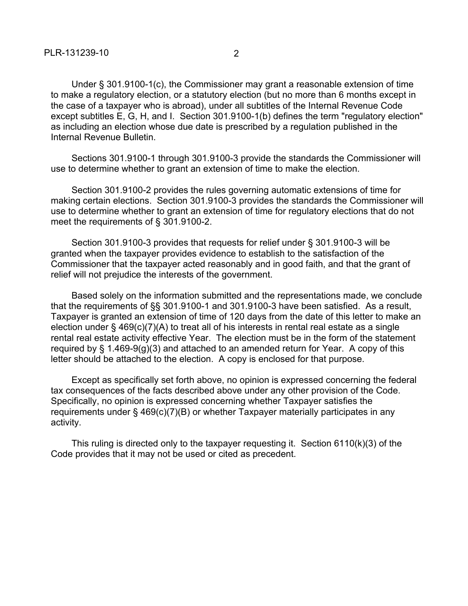Under § 301.9100-1(c), the Commissioner may grant a reasonable extension of time to make a regulatory election, or a statutory election (but no more than 6 months except in the case of a taxpayer who is abroad), under all subtitles of the Internal Revenue Code except subtitles E, G, H, and I. Section 301.9100-1(b) defines the term "regulatory election" as including an election whose due date is prescribed by a regulation published in the Internal Revenue Bulletin.

Sections 301.9100-1 through 301.9100-3 provide the standards the Commissioner will use to determine whether to grant an extension of time to make the election.

Section 301.9100-2 provides the rules governing automatic extensions of time for making certain elections. Section 301.9100-3 provides the standards the Commissioner will use to determine whether to grant an extension of time for regulatory elections that do not meet the requirements of § 301.9100-2.

Section 301.9100-3 provides that requests for relief under § 301.9100-3 will be granted when the taxpayer provides evidence to establish to the satisfaction of the Commissioner that the taxpayer acted reasonably and in good faith, and that the grant of relief will not prejudice the interests of the government.

Based solely on the information submitted and the representations made, we conclude that the requirements of §§ 301.9100-1 and 301.9100-3 have been satisfied. As a result, Taxpayer is granted an extension of time of 120 days from the date of this letter to make an election under § 469(c)(7)(A) to treat all of his interests in rental real estate as a single rental real estate activity effective Year. The election must be in the form of the statement required by  $\S$  1.469-9(g)(3) and attached to an amended return for Year. A copy of this letter should be attached to the election. A copy is enclosed for that purpose.

Except as specifically set forth above, no opinion is expressed concerning the federal tax consequences of the facts described above under any other provision of the Code. Specifically, no opinion is expressed concerning whether Taxpayer satisfies the requirements under § 469(c)(7)(B) or whether Taxpayer materially participates in any activity.

This ruling is directed only to the taxpayer requesting it. Section 6110(k)(3) of the Code provides that it may not be used or cited as precedent.